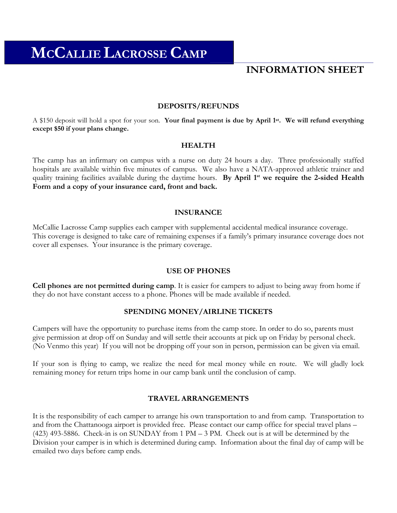# **INFORMATION SHEET**

#### **DEPOSITS/REFUNDS**

A \$150 deposit will hold a spot for your son. **Your final payment is due by April 1st. We will refund everything except \$50 if your plans change.**

#### **HEALTH**

The camp has an infirmary on campus with a nurse on duty 24 hours a day. Three professionally staffed hospitals are available within five minutes of campus. We also have a NATA-approved athletic trainer and quality training facilities available during the daytime hours. By April 1<sup>st</sup> we require the 2-sided Health **Form and a copy of your insurance card, front and back.** 

#### **INSURANCE**

McCallie Lacrosse Camp supplies each camper with supplemental accidental medical insurance coverage. This coverage is designed to take care of remaining expenses if a family's primary insurance coverage does not cover all expenses. Your insurance is the primary coverage.

#### **USE OF PHONES**

**Cell phones are not permitted during camp**. It is easier for campers to adjust to being away from home if they do not have constant access to a phone. Phones will be made available if needed.

#### **SPENDING MONEY/AIRLINE TICKETS**

Campers will have the opportunity to purchase items from the camp store. In order to do so, parents must give permission at drop off on Sunday and will settle their accounts at pick up on Friday by personal check. (No Venmo this year) If you will not be dropping off your son in person, permission can be given via email.

If your son is flying to camp, we realize the need for meal money while en route. We will gladly lock remaining money for return trips home in our camp bank until the conclusion of camp.

#### **TRAVEL ARRANGEMENTS**

It is the responsibility of each camper to arrange his own transportation to and from camp. Transportation to and from the Chattanooga airport is provided free. Please contact our camp office for special travel plans – (423) 493-5886. Check-in is on SUNDAY from 1 PM – 3 PM. Check out is at will be determined by the Division your camper is in which is determined during camp. Information about the final day of camp will be emailed two days before camp ends.